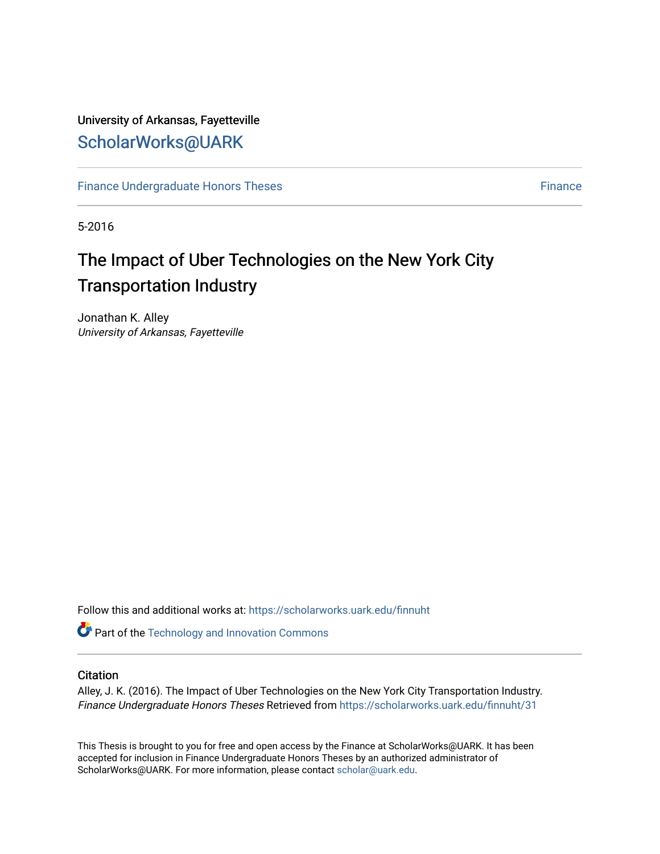## University of Arkansas, Fayetteville [ScholarWorks@UARK](https://scholarworks.uark.edu/)

[Finance Undergraduate Honors Theses](https://scholarworks.uark.edu/finnuht) **[Finance](https://scholarworks.uark.edu/finn) Executes** Finance

5-2016

# The Impact of Uber Technologies on the New York City Transportation Industry

Jonathan K. Alley University of Arkansas, Fayetteville

Follow this and additional works at: [https://scholarworks.uark.edu/finnuht](https://scholarworks.uark.edu/finnuht?utm_source=scholarworks.uark.edu%2Ffinnuht%2F31&utm_medium=PDF&utm_campaign=PDFCoverPages)

**Part of the [Technology and Innovation Commons](http://network.bepress.com/hgg/discipline/644?utm_source=scholarworks.uark.edu%2Ffinnuht%2F31&utm_medium=PDF&utm_campaign=PDFCoverPages)** 

### **Citation**

Alley, J. K. (2016). The Impact of Uber Technologies on the New York City Transportation Industry. Finance Undergraduate Honors Theses Retrieved from [https://scholarworks.uark.edu/finnuht/31](https://scholarworks.uark.edu/finnuht/31?utm_source=scholarworks.uark.edu%2Ffinnuht%2F31&utm_medium=PDF&utm_campaign=PDFCoverPages) 

This Thesis is brought to you for free and open access by the Finance at ScholarWorks@UARK. It has been accepted for inclusion in Finance Undergraduate Honors Theses by an authorized administrator of ScholarWorks@UARK. For more information, please contact [scholar@uark.edu](mailto:scholar@uark.edu).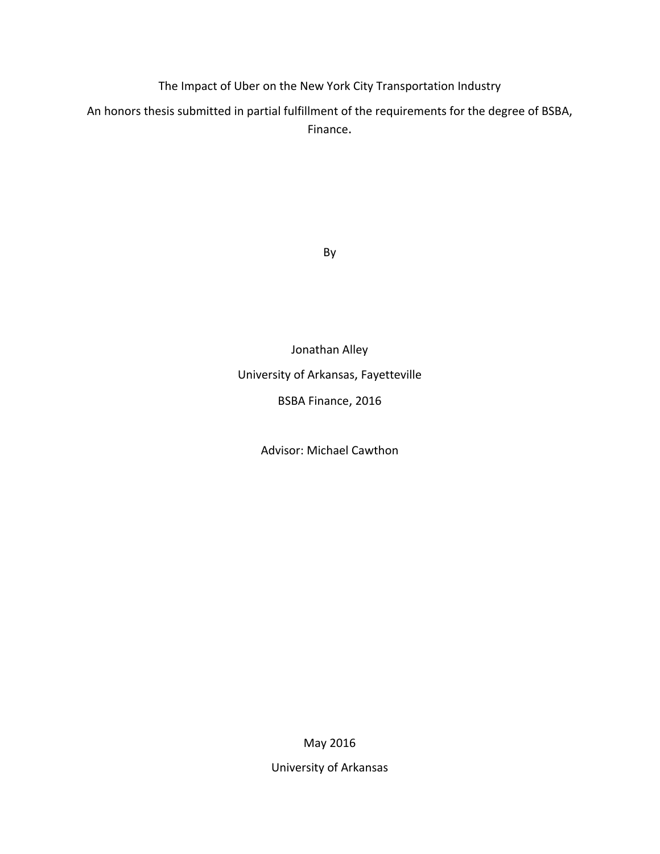The Impact of Uber on the New York City Transportation Industry

An honors thesis submitted in partial fulfillment of the requirements for the degree of BSBA, Finance.

By

Jonathan Alley University of Arkansas, Fayetteville BSBA Finance, 2016

Advisor: Michael Cawthon

May 2016

University of Arkansas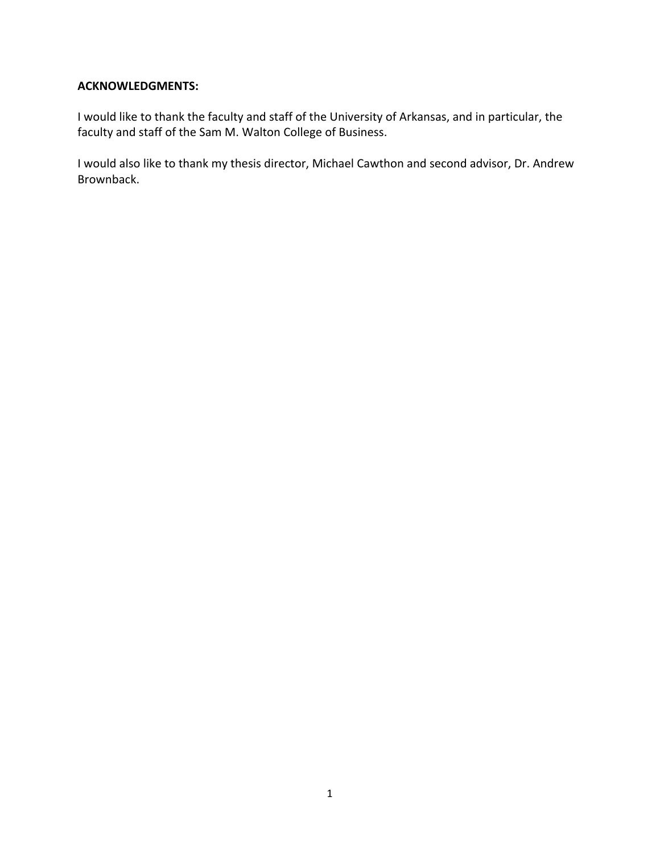### **ACKNOWLEDGMENTS:**

I would like to thank the faculty and staff of the University of Arkansas, and in particular, the faculty and staff of the Sam M. Walton College of Business.

I would also like to thank my thesis director, Michael Cawthon and second advisor, Dr. Andrew Brownback.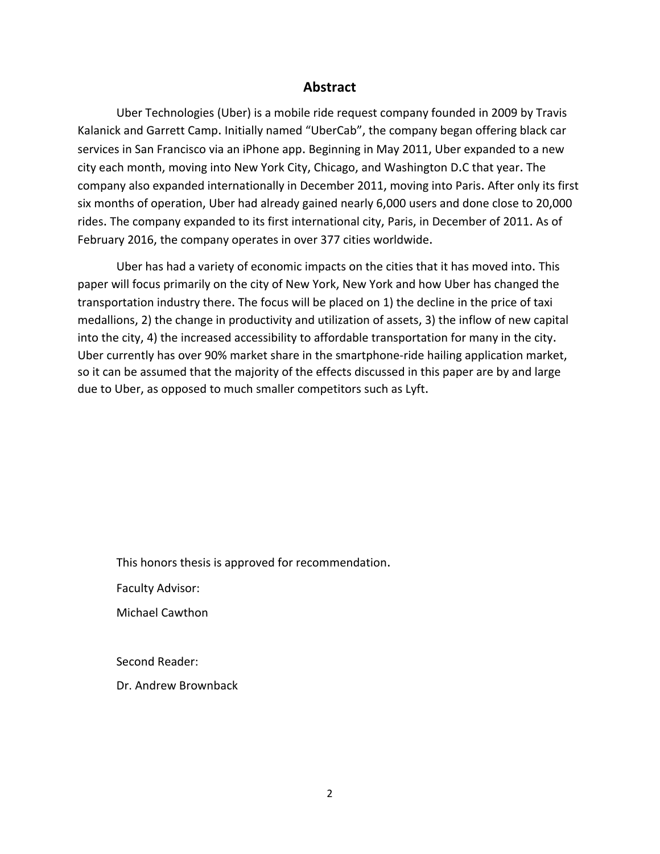### **Abstract**

Uber Technologies (Uber) is a mobile ride request company founded in 2009 by Travis Kalanick and Garrett Camp. Initially named "UberCab", the company began offering black car services in San Francisco via an iPhone app. Beginning in May 2011, Uber expanded to a new city each month, moving into New York City, Chicago, and Washington D.C that year. The company also expanded internationally in December 2011, moving into Paris. After only its first six months of operation, Uber had already gained nearly 6,000 users and done close to 20,000 rides. The company expanded to its first international city, Paris, in December of 2011. As of February 2016, the company operates in over 377 cities worldwide.

Uber has had a variety of economic impacts on the cities that it has moved into. This paper will focus primarily on the city of New York, New York and how Uber has changed the transportation industry there. The focus will be placed on 1) the decline in the price of taxi medallions, 2) the change in productivity and utilization of assets, 3) the inflow of new capital into the city, 4) the increased accessibility to affordable transportation for many in the city. Uber currently has over 90% market share in the smartphone-ride hailing application market, so it can be assumed that the majority of the effects discussed in this paper are by and large due to Uber, as opposed to much smaller competitors such as Lyft.

This honors thesis is approved for recommendation.

Faculty Advisor:

Michael Cawthon

Second Reader:

Dr. Andrew Brownback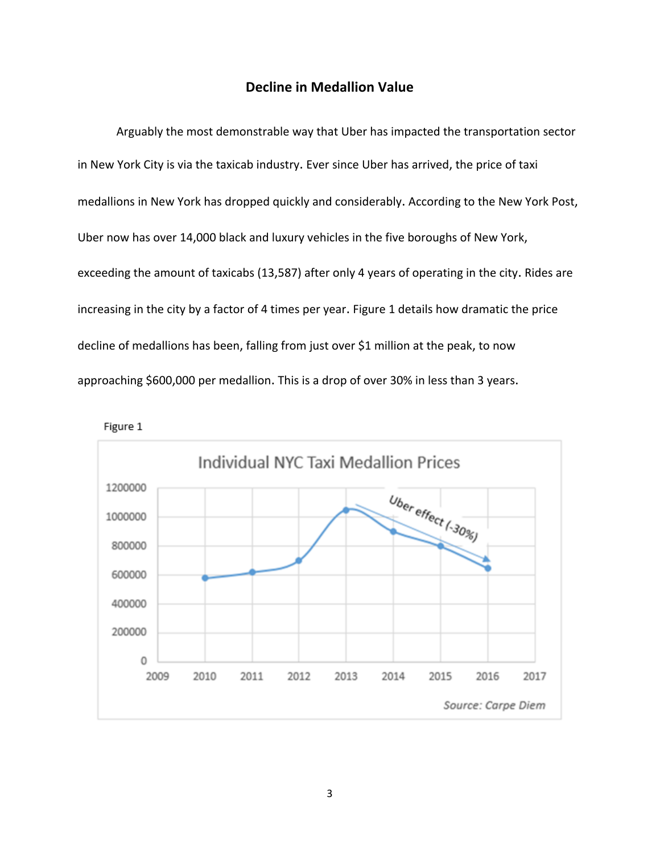### **Decline in Medallion Value**

Arguably the most demonstrable way that Uber has impacted the transportation sector in New York City is via the taxicab industry. Ever since Uber has arrived, the price of taxi medallions in New York has dropped quickly and considerably. According to the New York Post, Uber now has over 14,000 black and luxury vehicles in the five boroughs of New York, exceeding the amount of taxicabs (13,587) after only 4 years of operating in the city. Rides are increasing in the city by a factor of 4 times per year. Figure 1 details how dramatic the price decline of medallions has been, falling from just over \$1 million at the peak, to now approaching \$600,000 per medallion. This is a drop of over 30% in less than 3 years.



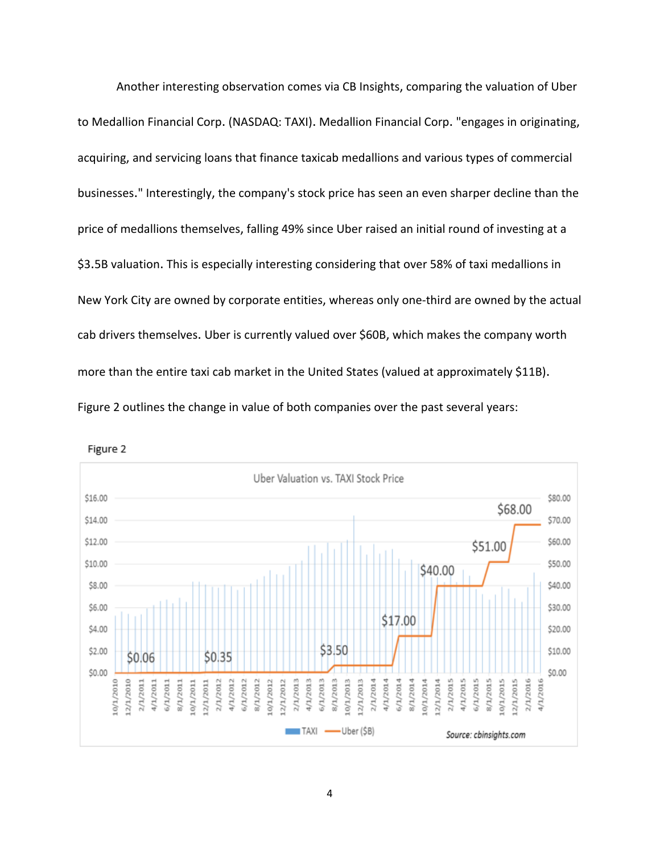Another interesting observation comes via CB Insights, comparing the valuation of Uber to Medallion Financial Corp. (NASDAQ: TAXI). Medallion Financial Corp. "engages in originating, acquiring, and servicing loans that finance taxicab medallions and various types of commercial businesses." Interestingly, the company's stock price has seen an even sharper decline than the price of medallions themselves, falling 49% since Uber raised an initial round of investing at a \$3.5B valuation. This is especially interesting considering that over 58% of taxi medallions in New York City are owned by corporate entities, whereas only one-third are owned by the actual cab drivers themselves. Uber is currently valued over \$60B, which makes the company worth more than the entire taxi cab market in the United States (valued at approximately \$11B). Figure 2 outlines the change in value of both companies over the past several years:



Figure 2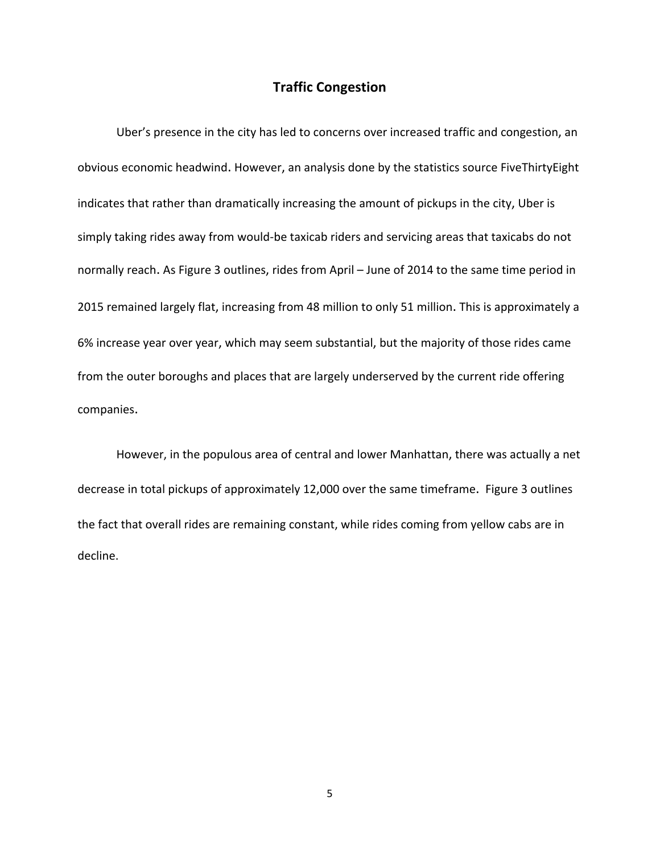### **Traffic Congestion**

Uber's presence in the city has led to concerns over increased traffic and congestion, an obvious economic headwind. However, an analysis done by the statistics source FiveThirtyEight indicates that rather than dramatically increasing the amount of pickups in the city, Uber is simply taking rides away from would-be taxicab riders and servicing areas that taxicabs do not normally reach. As Figure 3 outlines, rides from April – June of 2014 to the same time period in 2015 remained largely flat, increasing from 48 million to only 51 million. This is approximately a 6% increase year over year, which may seem substantial, but the majority of those rides came from the outer boroughs and places that are largely underserved by the current ride offering companies.

However, in the populous area of central and lower Manhattan, there was actually a net decrease in total pickups of approximately 12,000 over the same timeframe. Figure 3 outlines the fact that overall rides are remaining constant, while rides coming from yellow cabs are in decline.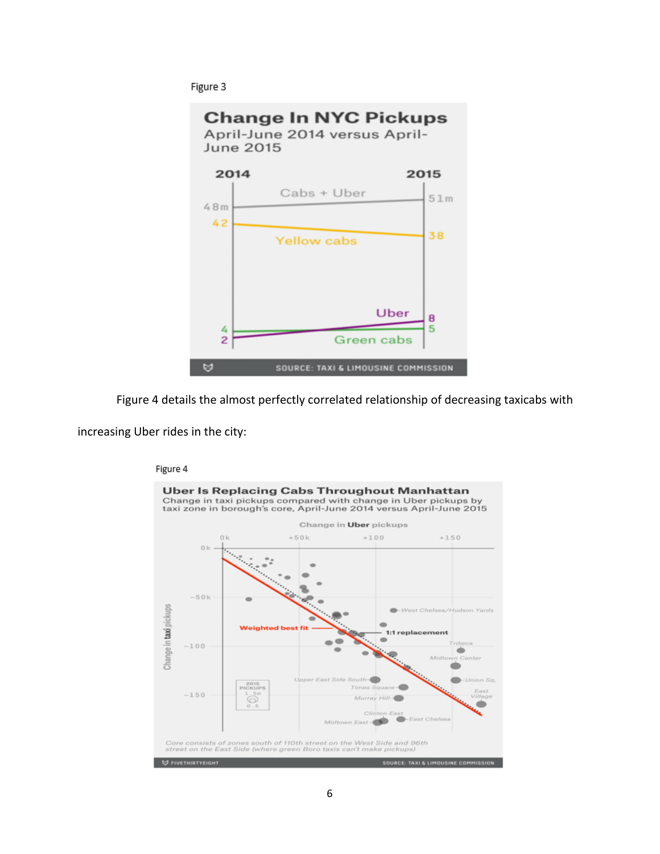Figure 3



Figure 4 details the almost perfectly correlated relationship of decreasing taxicabs with

increasing Uber rides in the city:

#### Figure 4

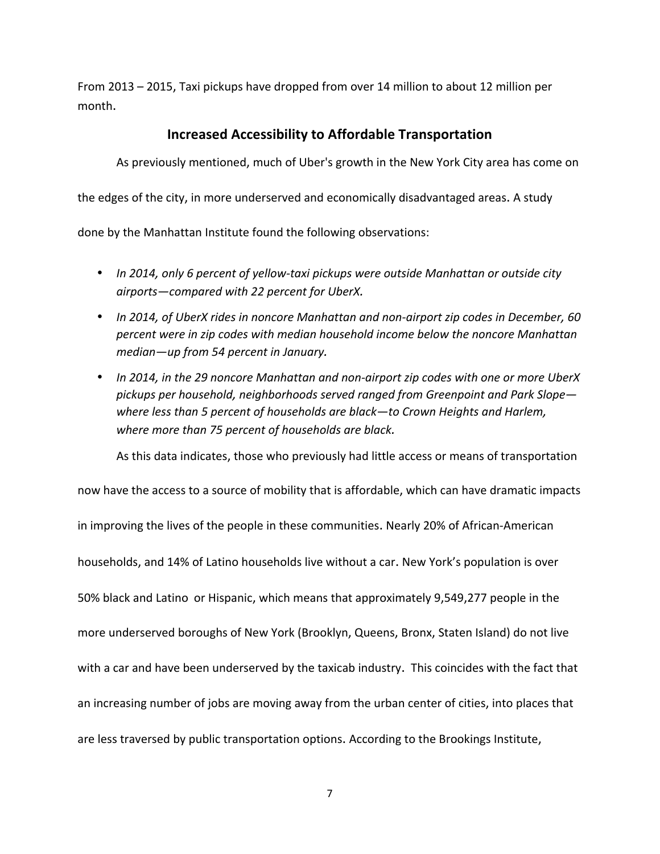From 2013 – 2015, Taxi pickups have dropped from over 14 million to about 12 million per month.

### **Increased Accessibility to Affordable Transportation**

As previously mentioned, much of Uber's growth in the New York City area has come on

the edges of the city, in more underserved and economically disadvantaged areas. A study

done by the Manhattan Institute found the following observations:

- In 2014, only 6 percent of yellow-taxi pickups were outside Manhattan or outside city *airports—compared with 22 percent for UberX.*
- In 2014, of UberX rides in noncore Manhattan and non-airport zip codes in December, 60 *percent* were in zip codes with median household income below the noncore Manhattan median—up from 54 percent in January.
- In 2014, in the 29 noncore Manhattan and non-airport zip codes with one or more UberX *pickups per household, neighborhoods served ranged from Greenpoint and Park Slope* where less than 5 percent of households are black—to Crown Heights and Harlem, where more than 75 percent of households are black.

As this data indicates, those who previously had little access or means of transportation

now have the access to a source of mobility that is affordable, which can have dramatic impacts in improving the lives of the people in these communities. Nearly 20% of African-American households, and 14% of Latino households live without a car. New York's population is over 50% black and Latino or Hispanic, which means that approximately 9,549,277 people in the more underserved boroughs of New York (Brooklyn, Queens, Bronx, Staten Island) do not live with a car and have been underserved by the taxicab industry. This coincides with the fact that an increasing number of jobs are moving away from the urban center of cities, into places that are less traversed by public transportation options. According to the Brookings Institute,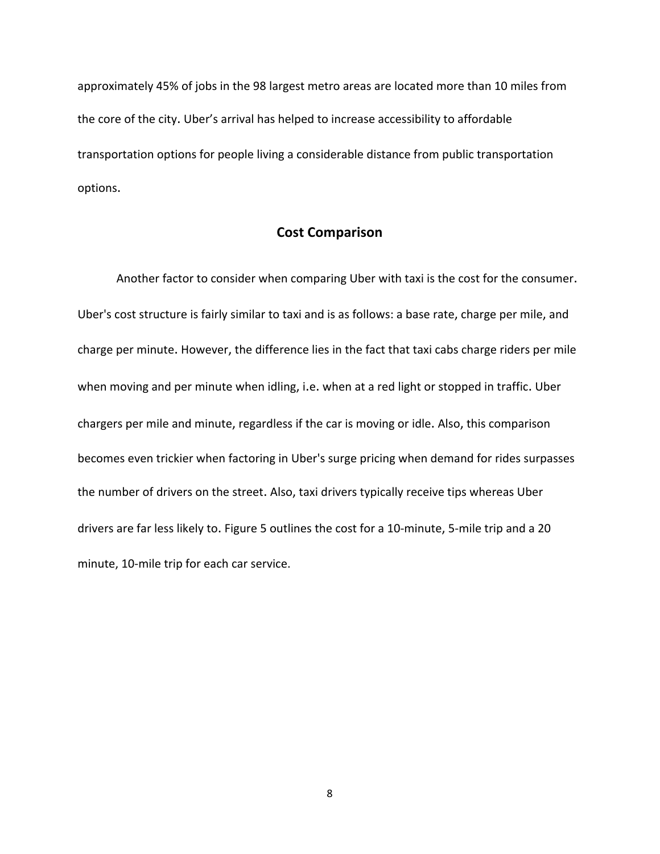approximately 45% of jobs in the 98 largest metro areas are located more than 10 miles from the core of the city. Uber's arrival has helped to increase accessibility to affordable transportation options for people living a considerable distance from public transportation options.

### **Cost Comparison**

Another factor to consider when comparing Uber with taxi is the cost for the consumer. Uber's cost structure is fairly similar to taxi and is as follows: a base rate, charge per mile, and charge per minute. However, the difference lies in the fact that taxi cabs charge riders per mile when moving and per minute when idling, i.e. when at a red light or stopped in traffic. Uber chargers per mile and minute, regardless if the car is moving or idle. Also, this comparison becomes even trickier when factoring in Uber's surge pricing when demand for rides surpasses the number of drivers on the street. Also, taxi drivers typically receive tips whereas Uber drivers are far less likely to. Figure 5 outlines the cost for a 10-minute, 5-mile trip and a 20 minute, 10-mile trip for each car service.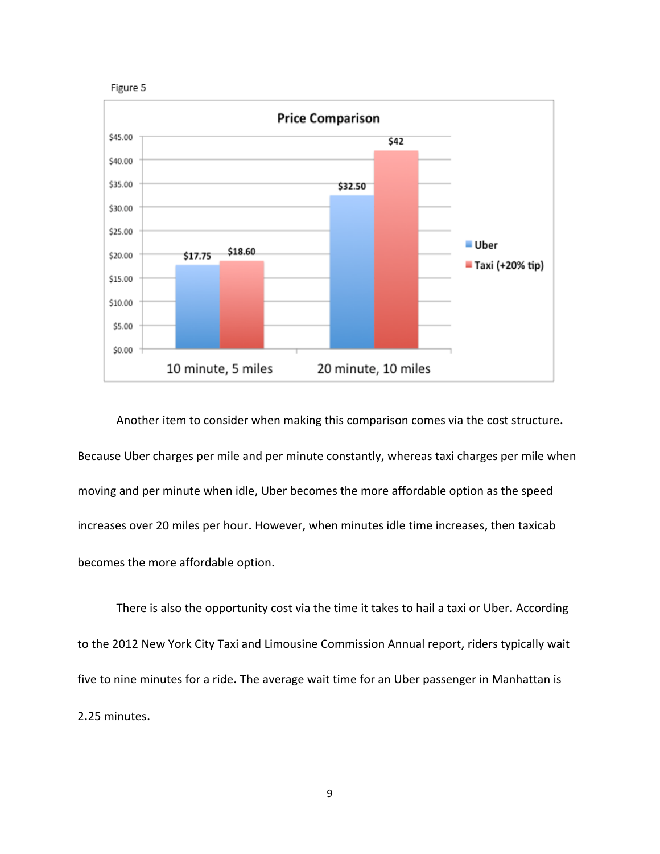



Another item to consider when making this comparison comes via the cost structure. Because Uber charges per mile and per minute constantly, whereas taxi charges per mile when moving and per minute when idle, Uber becomes the more affordable option as the speed increases over 20 miles per hour. However, when minutes idle time increases, then taxicab becomes the more affordable option.

There is also the opportunity cost via the time it takes to hail a taxi or Uber. According to the 2012 New York City Taxi and Limousine Commission Annual report, riders typically wait five to nine minutes for a ride. The average wait time for an Uber passenger in Manhattan is 2.25 minutes.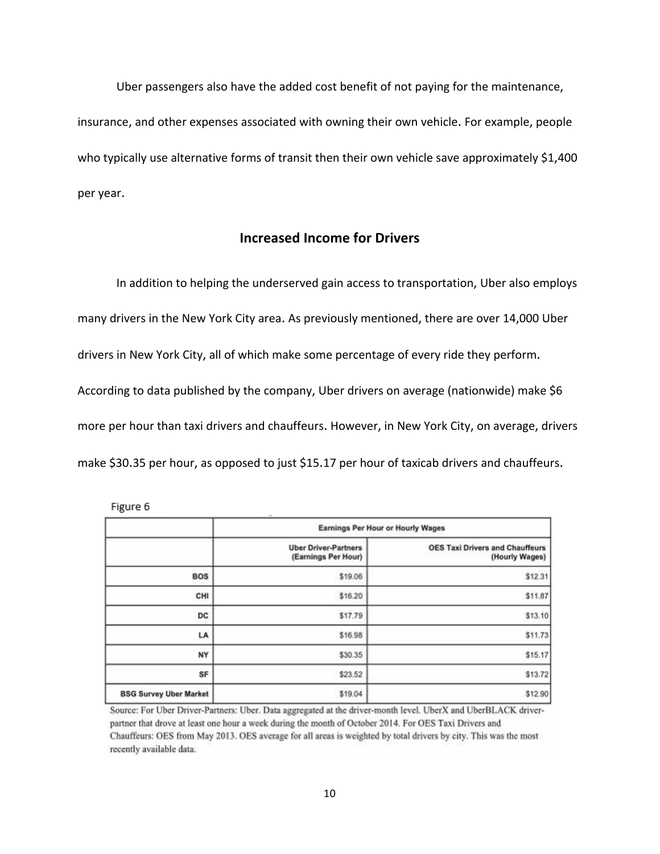Uber passengers also have the added cost benefit of not paying for the maintenance, insurance, and other expenses associated with owning their own vehicle. For example, people who typically use alternative forms of transit then their own vehicle save approximately \$1,400 per year.

### **Increased Income for Drivers**

In addition to helping the underserved gain access to transportation, Uber also employs many drivers in the New York City area. As previously mentioned, there are over 14,000 Uber drivers in New York City, all of which make some percentage of every ride they perform. According to data published by the company, Uber drivers on average (nationwide) make \$6 more per hour than taxi drivers and chauffeurs. However, in New York City, on average, drivers make \$30.35 per hour, as opposed to just \$15.17 per hour of taxicab drivers and chauffeurs.

|                               | <b>Earnings Per Hour or Hourly Wages</b>           |                                                          |
|-------------------------------|----------------------------------------------------|----------------------------------------------------------|
|                               | <b>Uber Driver-Partners</b><br>(Earnings Per Hour) | <b>OES Taxi Drivers and Chauffeurs</b><br>(Hourly Wages) |
| <b>BOS</b>                    | \$19.06                                            | \$12.31                                                  |
| CHI                           | \$16.20                                            | \$11.87                                                  |
| <b>DC</b>                     | \$17.79                                            | \$13.10                                                  |
| LA                            | \$16.98                                            | \$11.73                                                  |
| NY                            | \$30.35                                            | \$15.17                                                  |
| SF                            | \$23.52                                            | \$13.72                                                  |
| <b>BSG Survey Uber Market</b> | \$19.04                                            | \$12.90                                                  |

Figure 6

Source: For Uber Driver-Partners: Uber. Data aggregated at the driver-month level. UberX and UberBLACK driverpartner that drove at least one hour a week during the month of October 2014. For OES Taxi Drivers and Chauffeurs: OES from May 2013. OES average for all areas is weighted by total drivers by city. This was the most recently available data.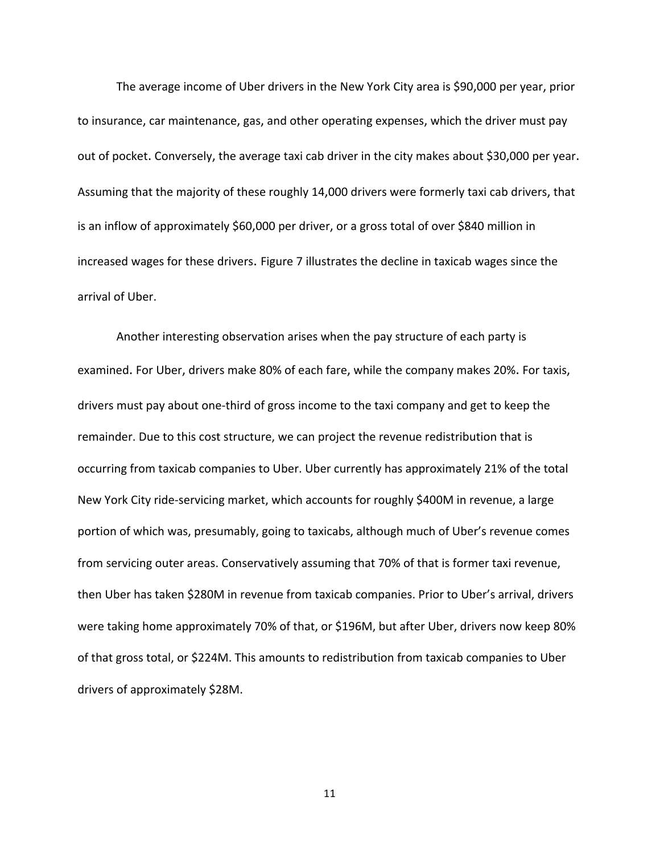The average income of Uber drivers in the New York City area is \$90,000 per year, prior to insurance, car maintenance, gas, and other operating expenses, which the driver must pay out of pocket. Conversely, the average taxi cab driver in the city makes about \$30,000 per year. Assuming that the majority of these roughly 14,000 drivers were formerly taxi cab drivers, that is an inflow of approximately \$60,000 per driver, or a gross total of over \$840 million in increased wages for these drivers. Figure 7 illustrates the decline in taxicab wages since the arrival of Uber.

Another interesting observation arises when the pay structure of each party is examined. For Uber, drivers make 80% of each fare, while the company makes 20%. For taxis, drivers must pay about one-third of gross income to the taxi company and get to keep the remainder. Due to this cost structure, we can project the revenue redistribution that is occurring from taxicab companies to Uber. Uber currently has approximately 21% of the total New York City ride-servicing market, which accounts for roughly \$400M in revenue, a large portion of which was, presumably, going to taxicabs, although much of Uber's revenue comes from servicing outer areas. Conservatively assuming that 70% of that is former taxi revenue, then Uber has taken \$280M in revenue from taxicab companies. Prior to Uber's arrival, drivers were taking home approximately 70% of that, or \$196M, but after Uber, drivers now keep 80% of that gross total, or \$224M. This amounts to redistribution from taxicab companies to Uber drivers of approximately \$28M.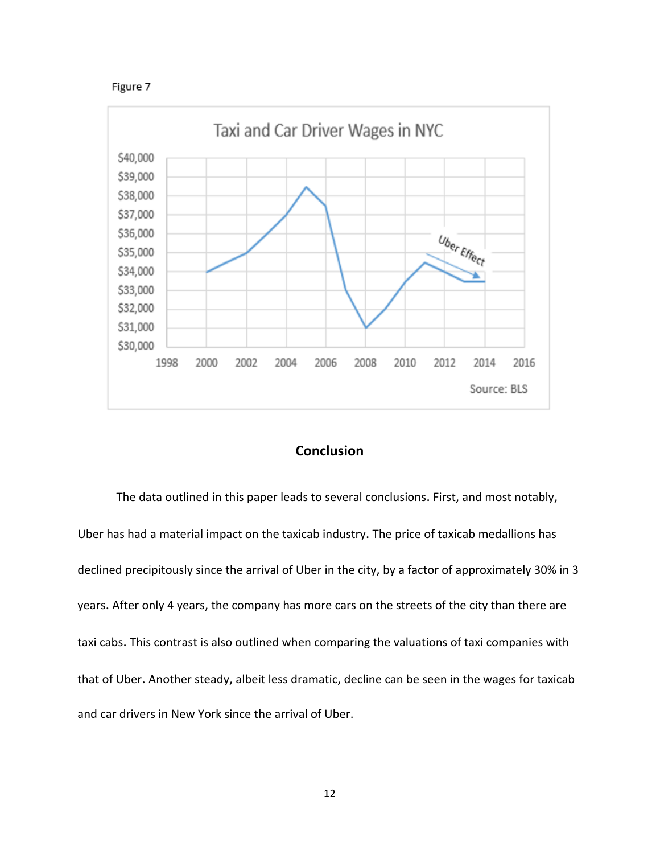Figure 7



### **Conclusion**

The data outlined in this paper leads to several conclusions. First, and most notably, Uber has had a material impact on the taxicab industry. The price of taxicab medallions has declined precipitously since the arrival of Uber in the city, by a factor of approximately 30% in 3 years. After only 4 years, the company has more cars on the streets of the city than there are taxi cabs. This contrast is also outlined when comparing the valuations of taxi companies with that of Uber. Another steady, albeit less dramatic, decline can be seen in the wages for taxicab and car drivers in New York since the arrival of Uber.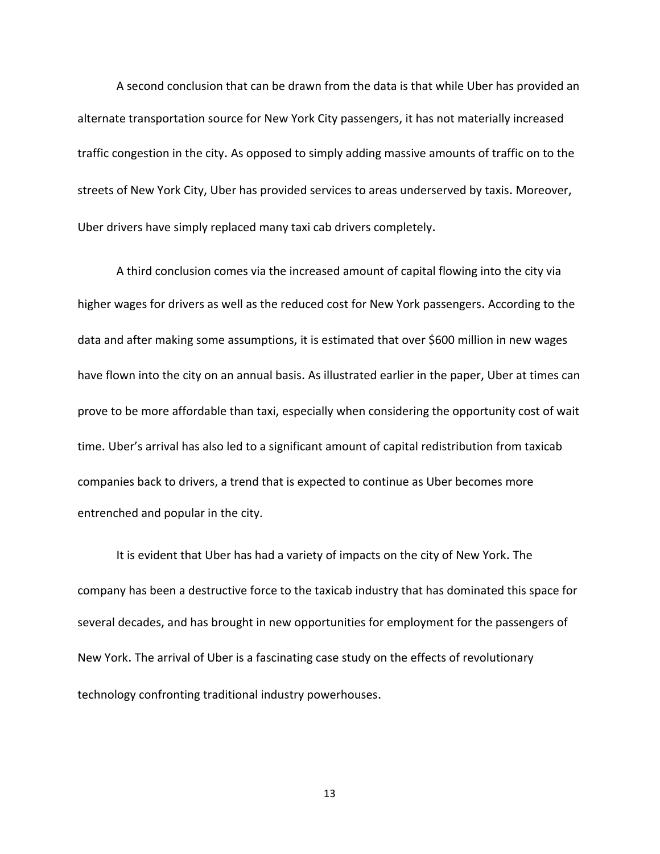A second conclusion that can be drawn from the data is that while Uber has provided an alternate transportation source for New York City passengers, it has not materially increased traffic congestion in the city. As opposed to simply adding massive amounts of traffic on to the streets of New York City, Uber has provided services to areas underserved by taxis. Moreover, Uber drivers have simply replaced many taxi cab drivers completely.

A third conclusion comes via the increased amount of capital flowing into the city via higher wages for drivers as well as the reduced cost for New York passengers. According to the data and after making some assumptions, it is estimated that over \$600 million in new wages have flown into the city on an annual basis. As illustrated earlier in the paper, Uber at times can prove to be more affordable than taxi, especially when considering the opportunity cost of wait time. Uber's arrival has also led to a significant amount of capital redistribution from taxicab companies back to drivers, a trend that is expected to continue as Uber becomes more entrenched and popular in the city.

It is evident that Uber has had a variety of impacts on the city of New York. The company has been a destructive force to the taxicab industry that has dominated this space for several decades, and has brought in new opportunities for employment for the passengers of New York. The arrival of Uber is a fascinating case study on the effects of revolutionary technology confronting traditional industry powerhouses.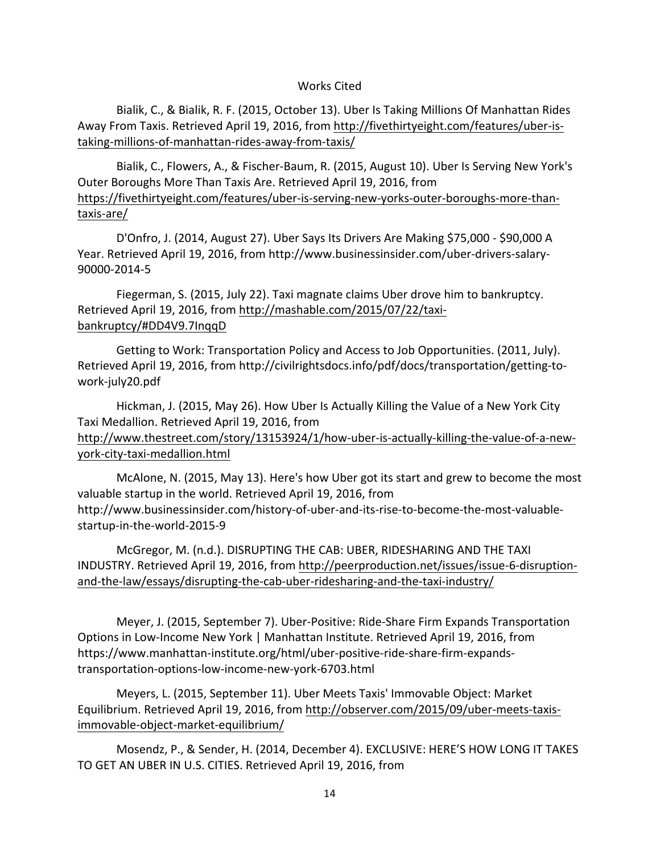### Works Cited

Bialik, C., & Bialik, R. F. (2015, October 13). Uber Is Taking Millions Of Manhattan Rides Away From Taxis. Retrieved April 19, 2016, from http://fivethirtyeight.com/features/uber-istaking-millions-of-manhattan-rides-away-from-taxis/

Bialik, C., Flowers, A., & Fischer-Baum, R. (2015, August 10). Uber Is Serving New York's Outer Boroughs More Than Taxis Are. Retrieved April 19, 2016, from https://fivethirtyeight.com/features/uber-is-serving-new-yorks-outer-boroughs-more-thantaxis-are/

D'Onfro, J. (2014, August 27). Uber Says Its Drivers Are Making \$75,000 - \$90,000 A Year. Retrieved April 19, 2016, from http://www.businessinsider.com/uber-drivers-salary-90000-2014-5

Fiegerman, S. (2015, July 22). Taxi magnate claims Uber drove him to bankruptcy. Retrieved April 19, 2016, from http://mashable.com/2015/07/22/taxibankruptcy/#DD4V9.7InqqD

Getting to Work: Transportation Policy and Access to Job Opportunities. (2011, July). Retrieved April 19, 2016, from http://civilrightsdocs.info/pdf/docs/transportation/getting-towork-july20.pdf

Hickman, J. (2015, May 26). How Uber Is Actually Killing the Value of a New York City Taxi Medallion. Retrieved April 19, 2016, from

http://www.thestreet.com/story/13153924/1/how-uber-is-actually-killing-the-value-of-a-newyork-city-taxi-medallion.html

McAlone, N. (2015, May 13). Here's how Uber got its start and grew to become the most valuable startup in the world. Retrieved April 19, 2016, from http://www.businessinsider.com/history-of-uber-and-its-rise-to-become-the-most-valuablestartup-in-the-world-2015-9

McGregor, M. (n.d.). DISRUPTING THE CAB: UBER, RIDESHARING AND THE TAXI INDUSTRY. Retrieved April 19, 2016, from http://peerproduction.net/issues/issue-6-disruptionand-the-law/essays/disrupting-the-cab-uber-ridesharing-and-the-taxi-industry/

Meyer, J. (2015, September 7). Uber-Positive: Ride-Share Firm Expands Transportation Options in Low-Income New York | Manhattan Institute. Retrieved April 19, 2016, from https://www.manhattan-institute.org/html/uber-positive-ride-share-firm-expandstransportation-options-low-income-new-york-6703.html

Meyers, L. (2015, September 11). Uber Meets Taxis' Immovable Object: Market Equilibrium. Retrieved April 19, 2016, from http://observer.com/2015/09/uber-meets-taxisimmovable-object-market-equilibrium/

Mosendz, P., & Sender, H. (2014, December 4). EXCLUSIVE: HERE'S HOW LONG IT TAKES TO GET AN UBER IN U.S. CITIES. Retrieved April 19, 2016, from